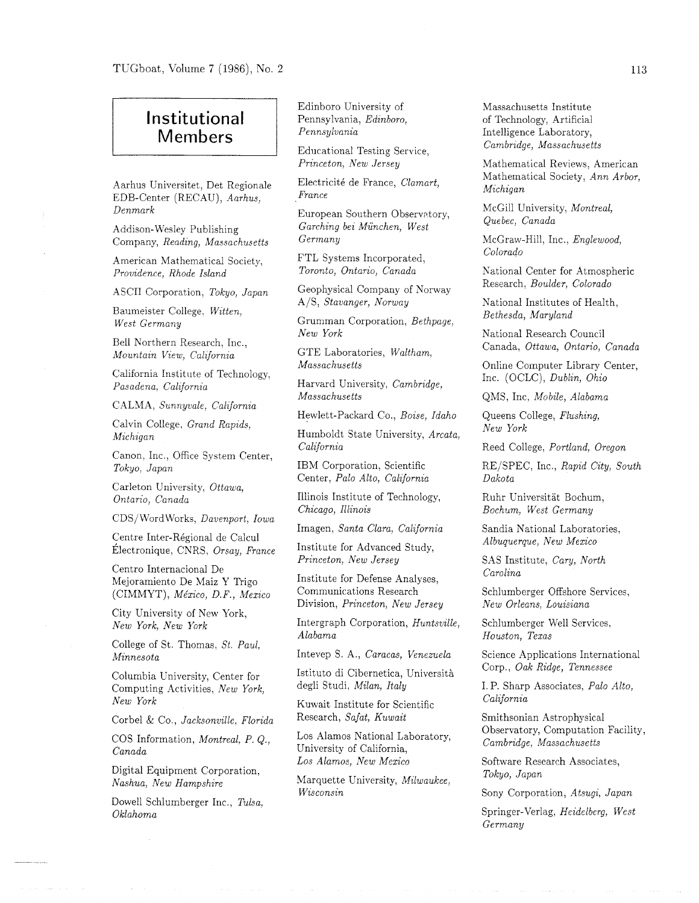## Institutional Members

Aarhus Universitet, Det Regionale EDB-Center (RECAU), *Aarhus, Denmark* 

Addison-Wesley Publishing Company, *Reading, Massachusetts* 

American Mathematical Society, *Providence, Rhode Island* 

ASCII Corporation, *Tokyo, Japan* 

Baumeister College, *Witten, West Germany* 

Bell Northern Research. Inc., *Mountain View, California* 

California Institute of Technology, *Pasadena. Calzfornia* 

CALMA, *Sunnyvale. California* 

Calvin College, *Grand Rapids. Michigan* 

Canon, Inc., Office System Center, *Tokyo, Japan* 

Carleton University, *Ottawa, Ontario, Canada* 

CDS/WordWorks, *Davenport, Iowa* 

Centre Inter-Régional de Calcul  $Électronique, CNRS, *Orsay, France*$ 

Centro Internacional De Mejoramiento De Maiz Y Trigo (CIMMYT), *Me'xico, D. F., Mexico* 

City University of New York, *New York, New York* 

College of St. Thomas, *St. Paul, Minnesota* 

Columbia University, Center for Computing Activities, *New York, New York* 

Corbel & Co., *Jacksonville, Florida* 

COS Information, *Montreal, P.* Q., *Canada* 

Digital Equipment Corporation, *Nashua, New Hampshire* 

Dowel1 Schlumberger Inc., *Tulsa. Oklahoma* 

Edinboro University of Pennsylvania, *Edinboro, Pennsylvania* 

Educational Testing Service, *Princeton, New Jersey* 

Electricité de France, *Clamart*, *France* 

European Southern Observatory, *Garching bei Munchen, West Germany* 

FTL Systems Incorporated, *Toronto, Ontario, Canada* 

Geophysical Company of Norway A/S, *Stavanger, Norway* 

Grumman Corporation, *Bethpage, New York* 

GTE Laboratories, *Waltham, Massachusetts* 

Harvard University, *Cambridge, Massachusetts* 

Hewlett-Packard Co., *Boise, Idaho* 

Humboldt State University, *Arcata, California* 

IBM Corporation, Scientific Center, *Palo Alto, California* 

Illinois Institute of Technology, *Chicago, Illinois* 

Imagen, *Santa Clara, California* 

Institute for Advanced Study, *Princeton, New Jersey* 

Institute for Defense Analyses, Communications Research Division, *Princeton, New Jersey* 

Intergraph Corporation, *Huntsville, Alabama* 

Intevep S. A., *Caracas, Venezuela* 

Istituto di Cibernetica, Università degli Studi, *Milan, Italy* 

Kuwait Institute for Scientific Research, *Safat, Kuwait* 

Los Alamos National Laboratory, University of California, *Los Alamos, New Mexico* 

Marquette University, *Milwaukee, Wisconsin* 

Massachusetts Institute of Technology, Artificial Intelligence Laboratory, *Cambridge, Massachusetts* 

Mathematical Reviews, American Mathematical Society, *Ann Arbor, Michigan* 

McGill University, *Montreal, Quebec, Canada* 

McGraw-Hill, Inc., *Englewood, Colorado* 

National Center for Atmospheric Research, *Boulder, Colorado* 

National Institutes of Health, *Bethesda, Maryland* 

National Research Council Canada, *Ottawa, Ontario, Canada* 

Online Computer Library Center, Inc. (OCLC), *Dublin, Ohio* 

QMS, Inc, *Mobile, Alabama* 

Queens College, *Flushing, New York* 

Reed College, *Portland, Oregon* 

RE/SPEC, Inc., *Rapid City, South Dakota* 

Ruhr Universitat Bochum, *Bochum, West Germany* 

Sandia National Laboratories, *Albuquerque, New Mexico* 

SAS Institute, *Cary, North Carolina* 

Schlumberger Offshore Services, *New Orleans, Louisiana* 

Schlumberger Well Services, *Houston, Texas* 

Science Applications International Corp., *Oak Ridge, Tennessee* 

I. P. Sharp Associates, *Palo Alto, California* 

Smithsonian Astrophysical Observatory, Computation Facility, *Cambridge, Massachusetts* 

Software Research Associates, *Tokyo, Japan* 

Sony Corporation, *Atsugi, Japan* 

Springer-Verlag, *Heidelberg, West Germany*